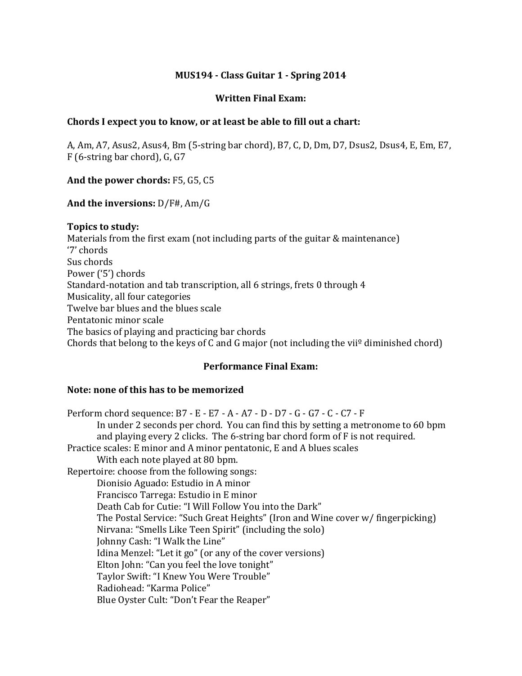# **MUS194'( Class'Guitar'1'( Spring'2014**

### **Written'Final'Exam:**

### Chords I expect you to know, or at least be able to fill out a chart:

A, Am, A7, Asus2, Asus4, Bm (5-string bar chord), B7, C, D, Dm, D7, Dsus2, Dsus4, E, Em, E7,  $F$  (6-string bar chord), G, G7

**And the power chords:** F5, G5, C5

### And the inversions:  $D/F#$ , Am/G

### **Topics to study:**

Materials from the first exam (not including parts of the guitar & maintenance) '7' chords Sus chords Power ('5') chords Standard-notation and tab transcription, all 6 strings, frets 0 through 4 Musicality, all four categories Twelve bar blues and the blues scale Pentatonic minor scale The basics of playing and practicing bar chords Chords that belong to the keys of C and G major (not including the vii<sup>o</sup> diminished chord)

### Performance Final Exam:

### Note: none of this has to be memorized

Perform chord sequence: B7 - E - E7 - A - A7 - D - D7 - G - G7 - C - C7 - F In under 2 seconds per chord. You can find this by setting a metronome to 60 bpm and playing every 2 clicks. The 6-string bar chord form of  $F$  is not required. Practice scales: E minor and A minor pentatonic, E and A blues scales With each note played at 80 bpm. Repertoire: choose from the following songs: Dionisio Aguado: Estudio in A minor Francisco Tarrega: Estudio in E minor Death Cab for Cutie: "I Will Follow You into the Dark" The Postal Service: "Such Great Heights" (Iron and Wine cover w/ fingerpicking) Nirvana: "Smells Like Teen Spirit" (including the solo) Johnny Cash: "I Walk the Line" Idina Menzel: "Let it go" (or any of the cover versions) Elton John: "Can you feel the love tonight" Taylor Swift: "I Knew You Were Trouble" Radiohead: "Karma Police" Blue Oyster Cult: "Don't Fear the Reaper"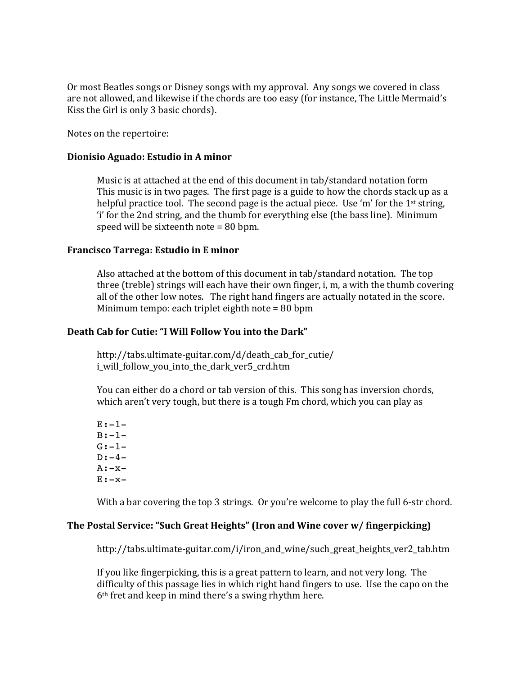Or most Beatles songs or Disney songs with my approval. Any songs we covered in class are not allowed, and likewise if the chords are too easy (for instance, The Little Mermaid's Kiss the Girl is only 3 basic chords).

Notes on the repertoire:

#### Dionisio Aguado: Estudio in A minor

Music is at attached at the end of this document in tab/standard notation form This music is in two pages. The first page is a guide to how the chords stack up as a helpful practice tool. The second page is the actual piece. Use 'm' for the  $1<sup>st</sup>$  string, 'i' for the 2nd string, and the thumb for everything else (the bass line). Minimum speed will be sixteenth note  $= 80$  bpm.

#### **Francisco Tarrega: Estudio in E minor**

Also attached at the bottom of this document in tab/standard notation. The top three (treble) strings will each have their own finger, i, m, a with the thumb covering all of the other low notes. The right hand fingers are actually notated in the score. Minimum tempo: each triplet eighth note  $= 80$  bpm

#### Death Cab for Cutie: "I Will Follow You into the Dark"

http://tabs.ultimate-guitar.com/d/death\_cab\_for\_cutie/ i\_will\_follow\_you\_into\_the\_dark\_ver5\_crd.htm

You can either do a chord or tab version of this. This song has inversion chords, which aren't very tough, but there is a tough Fm chord, which you can play as

 $E: -1 B: -1 G: -1 D: -4 A:-x E: -x-$ 

With a bar covering the top 3 strings. Or you're welcome to play the full 6-str chord.

### The Postal Service: "Such Great Heights" (Iron and Wine cover w/ fingerpicking)

http://tabs.ultimate-guitar.com/i/iron\_and\_wine/such\_great\_heights\_ver2\_tab.htm

If you like fingerpicking, this is a great pattern to learn, and not very long. The difficulty of this passage lies in which right hand fingers to use. Use the capo on the  $6<sup>th</sup>$  fret and keep in mind there's a swing rhythm here.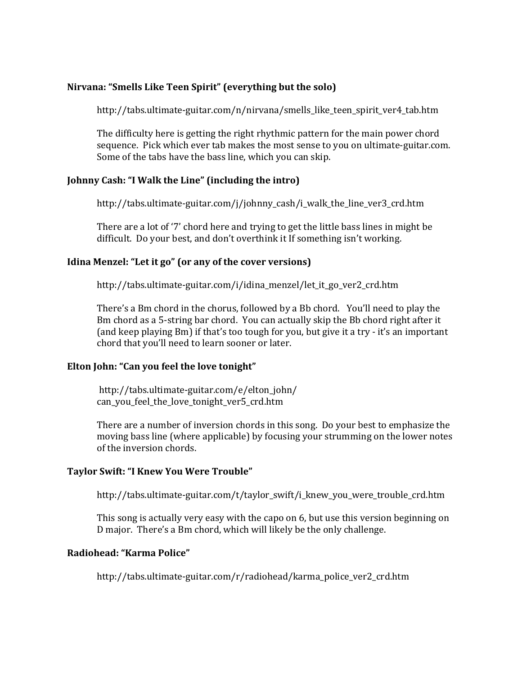### Nirvana: "Smells Like Teen Spirit" (everything but the solo)

http://tabs.ultimate-guitar.com/n/nirvana/smells\_like\_teen\_spirit\_ver4\_tab.htm

The difficulty here is getting the right rhythmic pattern for the main power chord sequence. Pick which ever tab makes the most sense to you on ultimate-guitar.com. Some of the tabs have the bass line, which you can skip.

# **Johnny'Cash:'"I'Walk'the'Line" (including'the'intro)**

http://tabs.ultimate-guitar.com/j/johnny\_cash/i\_walk\_the\_line\_ver3\_crd.htm

There are a lot of '7' chord here and trying to get the little bass lines in might be difficult. Do your best, and don't overthink it If something isn't working.

### Idina Menzel: "Let it go" (or any of the cover versions)

http://tabs.ultimate-guitar.com/i/idina\_menzel/let\_it\_go\_ver2\_crd.htm

There's a Bm chord in the chorus, followed by a Bb chord. You'll need to play the Bm chord as a 5-string bar chord. You can actually skip the Bb chord right after it (and keep playing Bm) if that's too tough for you, but give it a try - it's an important chord that you'll need to learn sooner or later.

### Elton John: "Can you feel the love tonight"

http://tabs.ultimate-guitar.com/e/elton\_john/ can you feel the love tonight ver5 crd.htm

There are a number of inversion chords in this song. Do your best to emphasize the moving bass line (where applicable) by focusing your strumming on the lower notes of the inversion chords.

# Taylor Swift: "I Knew You Were Trouble"

http://tabs.ultimate-guitar.com/t/taylor\_swift/i\_knew\_you\_were\_trouble\_crd.htm

This song is actually very easy with the capo on 6, but use this version beginning on D major. There's a Bm chord, which will likely be the only challenge.

### **Radiohead:'"Karma'Police"**

http://tabs.ultimate-guitar.com/r/radiohead/karma\_police\_ver2\_crd.htm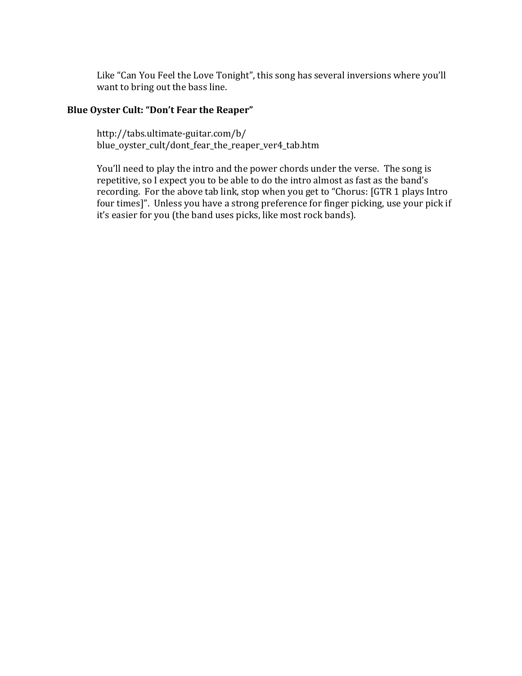Like "Can You Feel the Love Tonight", this song has several inversions where you'll want to bring out the bass line.

### Blue Oyster Cult: "Don't Fear the Reaper"

http://tabs.ultimate-guitar.com/b/ blue\_oyster\_cult/dont\_fear\_the\_reaper\_ver4\_tab.htm

You'll need to play the intro and the power chords under the verse. The song is repetitive, so I expect you to be able to do the intro almost as fast as the band's recording. For the above tab link, stop when you get to "Chorus: [GTR 1 plays Intro four times]". Unless you have a strong preference for finger picking, use your pick if it's easier for you (the band uses picks, like most rock bands).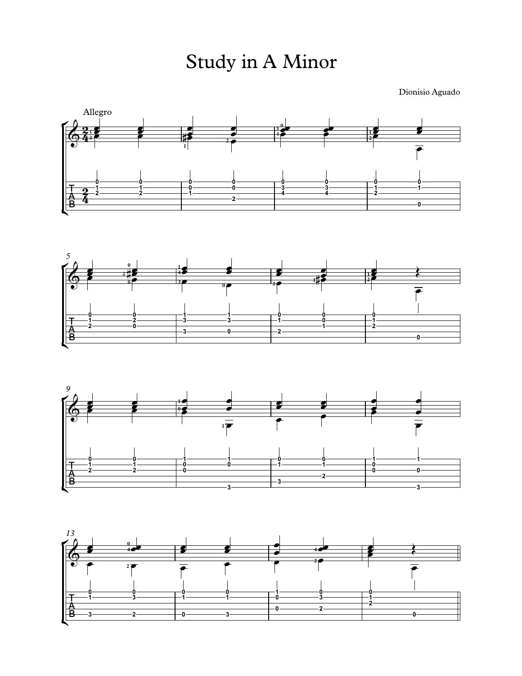Study in A Minor

Dionisio Aguado







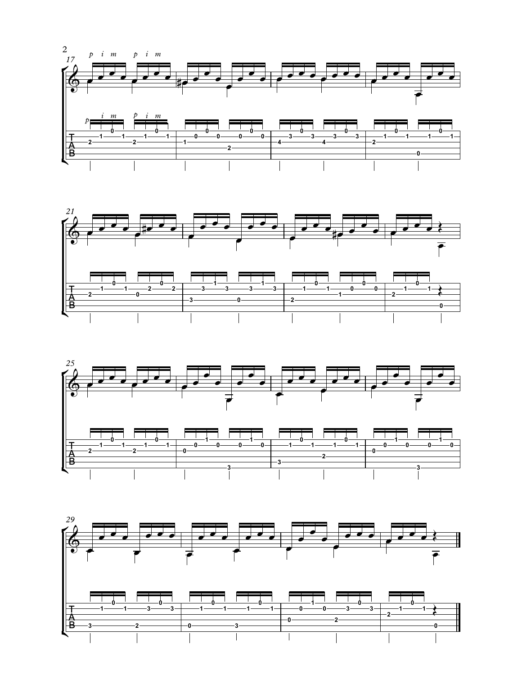